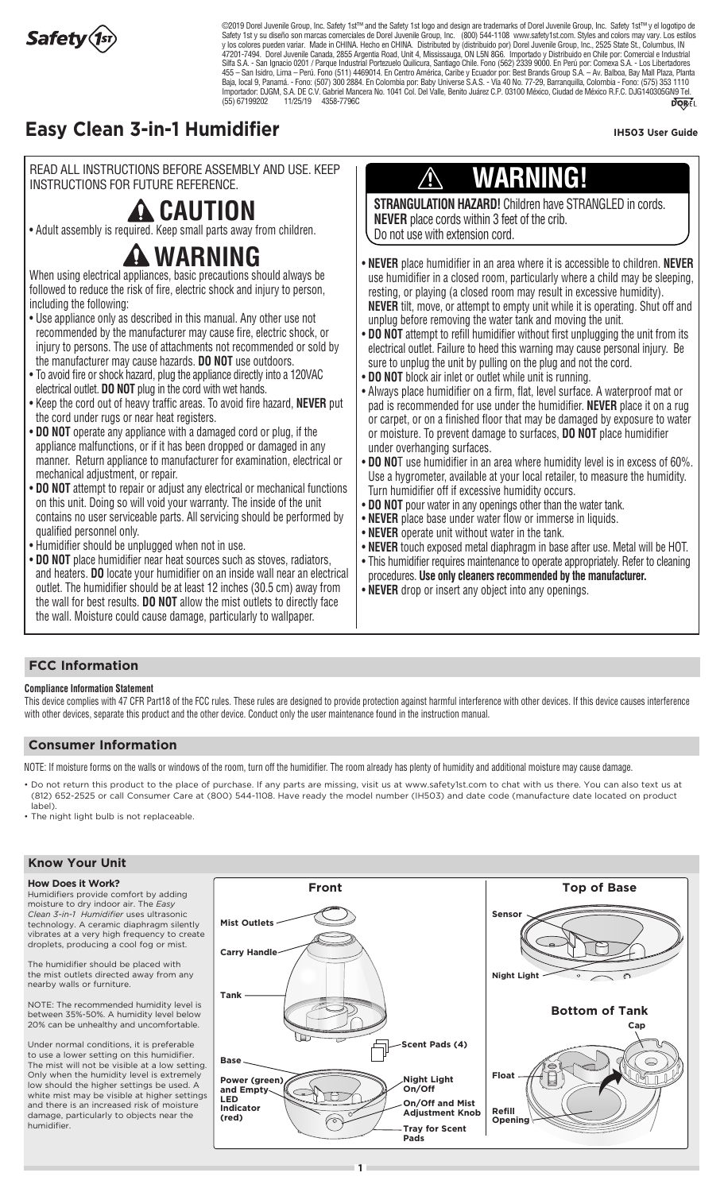

UNITIMA PUT. DANY UHIV<del>E</del>ISE O.A.O. - VIA 40 IVO. 77-29, DAHAHQUIIA, GUIUHIMA - FUHU. (J7J) JJJ<br>o. 1041 Col. Dol Vello. Popito. Luárez C.P. 02100 Móvioo. Ciudad do Móvioo P.E.C. D.IC14020ECN  $\overline{N_{0}}$ WHO SAN - San Ignacio 0201 / Parque Industrial Portezuelo Quilicura, Santiago Chile. Fono (562) 2339 9000. En Perú por: Comexa S.A. - Los Libertadores<br>455 – San Isidro, Lima – Perú. Fono (511) 4469014. En Centro América, C ©2019 Dorel Juvenile Group, Inc. Safety 1st™ and the Safety 1st logo and design are trademarks of Dorel Juvenile Group, Inc. Safety 1st™ y el logotipo de Safety 1st y su diseño son marcas comerciales de Dorel Juvenile Group, Inc. (800) 544-1108 www.safety1st.com. Styles and colors may vary. Los estilos y los colores pueden variar. Made in CHINA. Hecho en CHINA. Distributed by (distribuido por) Dorel Juvenile Group, Inc., 2525 State St., Columbus, IN 47201-7494. Dorel Juvenile Canada, 2855 Argentia Road, Unit 4, Mississauga, ON L5N 8G6. Importado y Distribuido en Chile por: Comercial e Industrial Silfa S.A. - San Ignacio 0201 / Parque Industrial Portezuelo Quilicura, Santiago Chile. Fono (562) 2339 9000. En Perú por: Comexa S.A. - Los Libertadores Baja, local 9, Panamá. - Fono: (507) 300 2884. En Colombia por: Baby Universe S.A.S. - Vía 40 No. 77-29, Barranquilla, Colombia - Fono: (575) 353 1110 Importador: DJGM, S.A. DE C.V. Gabriel Mancera No. 1041 Col. Del Valle, Benito Juárez C.P. 03100 México, Ciudad de México R.F.C. DJG140305GN9 Tel. (55) 67199202 11/25/19 4358-7796C

### **Easy Clean 3-in-1 Humidifier In the set of the Clean 3-in-1 Humidifier IH503 User Guide**

READ ALL INSTRUCTIONS BEFORE ASSEMBLY AND USE. KEEP INSTRUCTIONS FOR FUTURE REFERENCE.

## **A** CAUTION

• Adult assembly is required. Keep small parts away from children.

# **WARNING**

When using electrical appliances, basic precautions should always be followed to reduce the risk of fire, electric shock and injury to person, including the following:

- Use appliance only as described in this manual. Any other use not recommended by the manufacturer may cause fire, electric shock, or injury to persons. The use of attachments not recommended or sold by the manufacturer may cause hazards. **DO NOT** use outdoors.
- To avoid fire or shock hazard, plug the appliance directly into a 120VAC electrical outlet. **DO NOT** plug in the cord with wet hands.
- Keep the cord out of heavy traffic areas. To avoid fire hazard, **NEVER** put the cord under rugs or near heat registers.
- **DO NOT** operate any appliance with a damaged cord or plug, if the appliance malfunctions, or if it has been dropped or damaged in any manner. Return appliance to manufacturer for examination, electrical or mechanical adjustment, or repair.
- **DO NOT** attempt to repair or adjust any electrical or mechanical functions on this unit. Doing so will void your warranty. The inside of the unit contains no user serviceable parts. All servicing should be performed by qualified personnel only.
- Humidifier should be unplugged when not in use.
- **DO NOT** place humidifier near heat sources such as stoves, radiators, and heaters. **DO** locate your humidifier on an inside wall near an electrical outlet. The humidifier should be at least 12 inches (30.5 cm) away from the wall for best results. **DO NOT** allow the mist outlets to directly face the wall. Moisture could cause damage, particularly to wallpaper.

# **WARNING!**

**STRANGULATION HAZARD!** Children have STRANGLED in cords. **NEVER** place cords within 3 feet of the crib. Do not use with extension cord.

- **NEVER** place humidifier in an area where it is accessible to children. **NEVER EVEN place humalist in an area whore it is accessible to simularity. NEVEN**<br>use humidifier in a closed room, particularly where a child may be sleeping, resting, or playing (a closed room may result in excessive humidity). **NEVER** tilt, move, or attempt to empty unit while it is operating. Shut off and unplug before removing the water tank and moving the unit.
- **DO NOT** attempt to refill humidifier without first unplugging the unit from its electrical outlet. Failure to heed this warning may cause personal injury. Be sure to unplug the unit by pulling on the plug and not the cord.
- $\bullet$  DO NOT block air inlet or outlet while unit is running.
- Always place humidifier on a firm, flat, level surface. A waterproof mat or pad is recommended for use under the humidifier. **NEVER** place it on a rug or carpet, or on a finished floor that may be damaged by exposure to water or moisture. To prevent damage to surfaces, **DO NOT** place humidifier under overhanging surfaces.
- **DO NO**T use humidifier in an area where humidity level is in excess of 60%. Use a hygrometer, available at your local retailer, to measure the humidity. Turn humidifier off if excessive humidity occurs.
- **DO NOT** pour water in any openings other than the water tank.
- **NEVER** place base under water flow or immerse in liquids.
- **NEVER** operate unit without water in the tank.
- **NEVER** touch exposed metal diaphragm in base after use. Metal will be HOT.
- This humidifier requires maintenance to operate appropriately. Refer to cleaning procedures. **Use only cleaners recommended by the manufacturer.**
- **NEVER** drop or insert any object into any openings.

### **FCC Information**

### **Compliance Information Statement**

This device complies with 47 CFR Part18 of the FCC rules. These rules are designed to provide protection against harmful interference with other devices. If this device causes interference with other devices, separate this product and the other device. Conduct only the user maintenance found in the instruction manual.

### **Consumer Information**

NOTE: If moisture forms on the walls or windows of the room, turn off the humidifier. The room already has plenty of humidity and additional moisture may cause damage.

• Do not return this product to the place of purchase. If any parts are missing, visit us at www.safety1st.com to chat with us there. You can also text us at (812) 652-2525 or call Consumer Care at (800) 544-1108. Have ready the model number (IH503) and date code (manufacture date located on product label).

• The night light bulb is not replaceable

### **Know Your Unit**

**How Does it Work?**

Humidifiers provide comfort by adding moisture to dry indoor air. The *Easy Clean 3-in-1 Humidifier* uses ultrasonic technology. A ceramic diaphragm silently vibrates at a very high frequency to create droplets, producing a cool fog or mist.

The humidifier should be placed with the mist outlets directed away from any nearby walls or furniture.

NOTE: The recommended humidity level is between 35%-50%. A humidity level below 20% can be unhealthy and uncomfortable.

Under normal conditions, it is preferable to use a lower setting on this humidifier. The mist will not be visible at a low setting. Only when the humidity level is extremely low should the higher settings be used. A white mist may be visible at higher settings and there is an increased risk of moisture damage, particularly to objects near the humidifier.

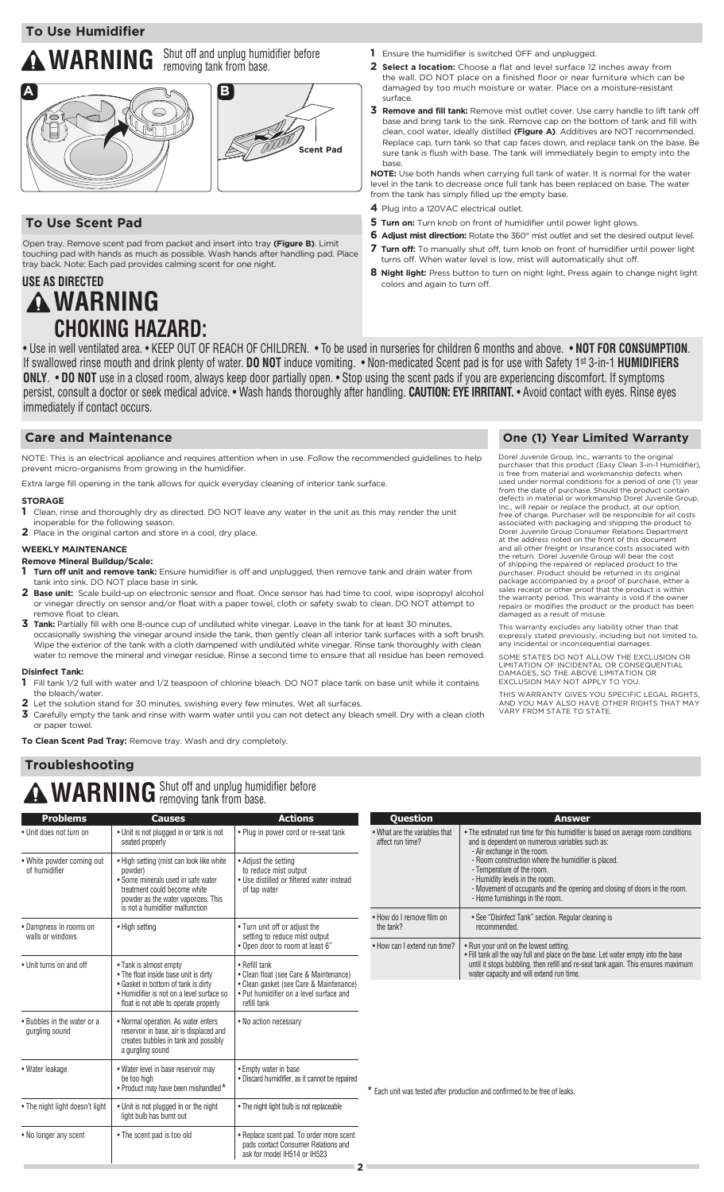### **WARNING** Shut off and unplug humidifier before removing tank from base.



### **To Use Scent Pad**

Open tray. Remove scent pad from packet and insert into tray **(Figure B)**. Limit touching pad with hands as much as possible. Wash hands after handling pad. Place tray back. Note: Each pad provides calming scent for one night.

### **WARNING USE AS DIRECTED CHOKING HAZARD:**

- **1** Ensure the humidifier is switched OFF and unplugged.
- **2 Select a location:** Choose a flat and level surface 12 inches away from the wall. DO NOT place on a finished floor or near furniture which can be damaged by too much moisture or water. Place on a moisture-resistant surface.
- **3 Remove and fill tank:** Remove mist outlet cover. Use carry handle to lift tank off base and bring tank to the sink. Remove cap on the bottom of tank and fill with clean, cool water, ideally distilled **(Figure A)**. Additives are NOT recommended. Replace cap, turn tank so that cap faces down, and replace tank on the base. Be sure tank is flush with base. The tank will immediately begin to empty into the base.

**NOTE:** Use both hands when carrying full tank of water. It is normal for the water level in the tank to decrease once full tank has been replaced on base. The water from the tank has simply filled up the empty base.

- **4** Plug into a 120VAC electrical outlet.
- **5 Turn on:** Turn knob on front of humidifier until power light glows.
- **6 Adjust mist direction:** Rotate the 360° mist outlet and set the desired output level. **7 Turn off:** To manually shut off, turn knob on front of humidifier until power light turns off. When water level is low, mist will automatically shut off.
- **8 Night light:** Press button to turn on night light. Press again to change night light colors and again to turn off.

• Use in well ventilated area. • KEEP OUT OF REACH OF CHILDREN. • To be used in nurseries for children 6 months and above. • **NOT FOR CONSUMPTION**. If swallowed rinse mouth and drink plenty of water. **DO NOT** induce vomiting. • Non-medicated Scent pad is for use with Safety 1st 3-in-1 **HUMIDIFIERS ONLY**. • **DO NOT** use in a closed room, always keep door partially open. • Stop using the scent pads if you are experiencing discomfort. If symptoms persist, consult a doctor or seek medical advice. • Wash hands thoroughly after handling. **CAUTION: EYE IRRITANT.** • Avoid contact with eyes. Rinse eyes immediately if contact occurs.

### **Care and Maintenance Care and Maintenance Care and Maintenance Care (1) Year Limited Warranty**

NOTE: This is an electrical appliance and requires attention when in use. Follow the recommended guidelines to help prevent micro-organisms from growing in the humidifier.

Extra large fill opening in the tank allows for quick everyday cleaning of interior tank surface.

#### **STORAGE**

**1** Clean, rinse and thoroughly dry as directed. DO NOT leave any water in the unit as this may render the unit inoperable for the following season.

**2** Place in the original carton and store in a cool, dry place.

#### **WEEKLY MAINTENANCE**

### **Remove Mineral Buildup/Scale:**

- **1 Turn off unit and remove tank:** Ensure humidifier is off and unplugged, then remove tank and drain water from tank into sink. DO NOT place base in sink.
- **2 Base unit:** Scale build-up on electronic sensor and float. Once sensor has had time to cool, wipe isopropyl alcohol or vinegar directly on sensor and/or float with a paper towel, cloth or safety swab to clean. DO NOT attempt to remove float to clean.
- **3 Tank:** Partially fill with one 8-ounce cup of undiluted white vinegar. Leave in the tank for at least 30 minutes, occasionally swishing the vinegar around inside the tank, then gently clean all interior tank surfaces with a soft brush. Wipe the exterior of the tank with a cloth dampened with undiluted white vinegar. Rinse tank thoroughly with clean water to remove the mineral and vinegar residue. Rinse a second time to ensure that all residue has been removed.

### **Disinfect Tank:**

- **1** Fill tank 1/2 full with water and 1/2 teaspoon of chlorine bleach. DO NOT place tank on base unit while it contains the bleach/water.
- **2** Let the solution stand for 30 minutes, swishing every few minutes. Wet all surfaces.<br>**3** Carefully empty the tank and rinse with warm water until you can not detect any bles
- **3** Carefully empty the tank and rinse with warm water until you can not detect any bleach smell. Dry with a clean cloth or paper towel.
- **To Clean Scent Pad Tray:** Remove tray. Wash and dry completely.

### **Troubleshooting**

# **A WARNING** Shut off and unplug humidifier before

| <b>Problems</b>                               | <b>Causes</b>                                                                                                                                                                                                                                                                                                     | <b>Actions</b>                                                                                                                                               | <b>Question</b>                                                                                                               | <b>Answer</b>                                                                                                                                                                                                                       |  |  |  |
|-----------------------------------------------|-------------------------------------------------------------------------------------------------------------------------------------------------------------------------------------------------------------------------------------------------------------------------------------------------------------------|--------------------------------------------------------------------------------------------------------------------------------------------------------------|-------------------------------------------------------------------------------------------------------------------------------|-------------------------------------------------------------------------------------------------------------------------------------------------------------------------------------------------------------------------------------|--|--|--|
| • Unit does not turn on                       | • Unit is not plugged in or tank is not<br>seated properly                                                                                                                                                                                                                                                        | • Plug in power cord or re-seat tank                                                                                                                         | • What are the variables that<br>affect run time?                                                                             | • The estimated run time for this humidifier is based on average room conditions<br>and is dependent on numerous variables such as:<br>- Air exchange in the room.                                                                  |  |  |  |
| • White powder coming out<br>of humidifier    | . High setting (mist can look like white<br>• Adjust the setting<br>to reduce mist output<br>powder)<br>• Some minerals used in safe water<br>• Use distilled or filtered water instead<br>treatment could become white<br>of tap water<br>powder as the water vaporizes. This<br>is not a humidifier malfunction |                                                                                                                                                              |                                                                                                                               | - Room construction where the humidifier is placed.<br>- Temperature of the room.<br>- Humidity levels in the room.<br>- Movement of occupants and the opening and closing of doors in the room.<br>- Home furnishings in the room. |  |  |  |
| • Dampness in rooms on<br>walls or windows    | • High setting                                                                                                                                                                                                                                                                                                    | • Turn unit off or adiust the<br>setting to reduce mist output<br>. Open door to room at least 6"                                                            | . How do I remove film on<br>the tank?                                                                                        | • See "Disinfect Tank" section. Regular cleaning is<br>recommended.                                                                                                                                                                 |  |  |  |
|                                               |                                                                                                                                                                                                                                                                                                                   |                                                                                                                                                              | . How can I extend run time?                                                                                                  | • Run your unit on the lowest setting.<br>. Fill tank all the way full and place on the base. Let water empty into the base                                                                                                         |  |  |  |
| • Unit turns on and off                       | • Tank is almost empty<br>. The float inside base unit is dirty<br>• Gasket in bottom of tank is dirty<br>• Humidifier is not on a level surface so<br>float is not able to operate properly                                                                                                                      | • Refill tank<br>• Clean float (see Care & Maintenance)<br>• Clean gasket (see Care & Maintenance)<br>• Put humidifier on a level surface and<br>refill tank | until it stops bubbling, then refill and re-seat tank again. This ensures maximum<br>water capacity and will extend run time. |                                                                                                                                                                                                                                     |  |  |  |
| • Bubbles in the water or a<br>gurgling sound | • Normal operation. As water enters<br>reservoir in base, air is displaced and<br>creates bubbles in tank and possibly<br>a gurgling sound                                                                                                                                                                        | • No action necessary                                                                                                                                        |                                                                                                                               |                                                                                                                                                                                                                                     |  |  |  |
| • Water leakage                               | • Water level in base reservoir may<br>be too high<br>• Product may have been mishandled *                                                                                                                                                                                                                        | • Empty water in base<br>· Discard humidifier, as it cannot be repaired                                                                                      | * Each unit was tested after production and confirmed to be free of leaks.                                                    |                                                                                                                                                                                                                                     |  |  |  |
| • The night light doesn't light               | • Unit is not plugged in or the night<br>light bulb has burnt out                                                                                                                                                                                                                                                 | • The night light bulb is not replaceable                                                                                                                    |                                                                                                                               |                                                                                                                                                                                                                                     |  |  |  |
| • No longer any scent                         | • The scent pad is too old                                                                                                                                                                                                                                                                                        | • Replace scent pad. To order more scent<br>pads contact Consumer Relations and<br>ask for model IH514 or IH523                                              |                                                                                                                               |                                                                                                                                                                                                                                     |  |  |  |

Dorel Juvenile Group, Inc., warrants to the original purchaser that this product (Easy Clean 3-in-1 Humidifier), is free from material and workmanship defects when used under normal conditions for a period of one (1) year from the date of purchase. Should the product contain defects in material or workmanship Dorel Juvenile Group, Inc., will repair or replace the product, at our option, free of charge. Purchaser will be responsible for all costs<br>associated with packaging and shipping the product to<br>Dorel Juvenile Group Consumer Relations Department<br>at the address noted on the front of this document<br>and al of shipping the repaired or replaced product to the<br>purchaser. Product should be returned in its original<br>package accompanied by a proof of purchase, either a<br>sales receipt or other proof that the product is within<br>the war repairs or modifies the product or the product has been damaged as a result of misuse

This warranty excludes any liability other than that expressly stated previously, including but not limited to, any incidental or inconsequential damages.

SOME STATES DO NOT ALLOW THE EXCLUSION OR LIMITATION OF INCIDENTAL OR CONSEQUENTIAL DAMAGES, SO THE ABOVE LIMITATION OR EXCLUSION MAY NOT APPLY TO YOU.

THIS WARRANTY GIVES YOU SPECIFIC LEGAL RIGHTS,<br>AND YOU MAY ALSO HAVE OTHER RIGHTS THAT MAY<br>VARY FROM STATE TO STATE.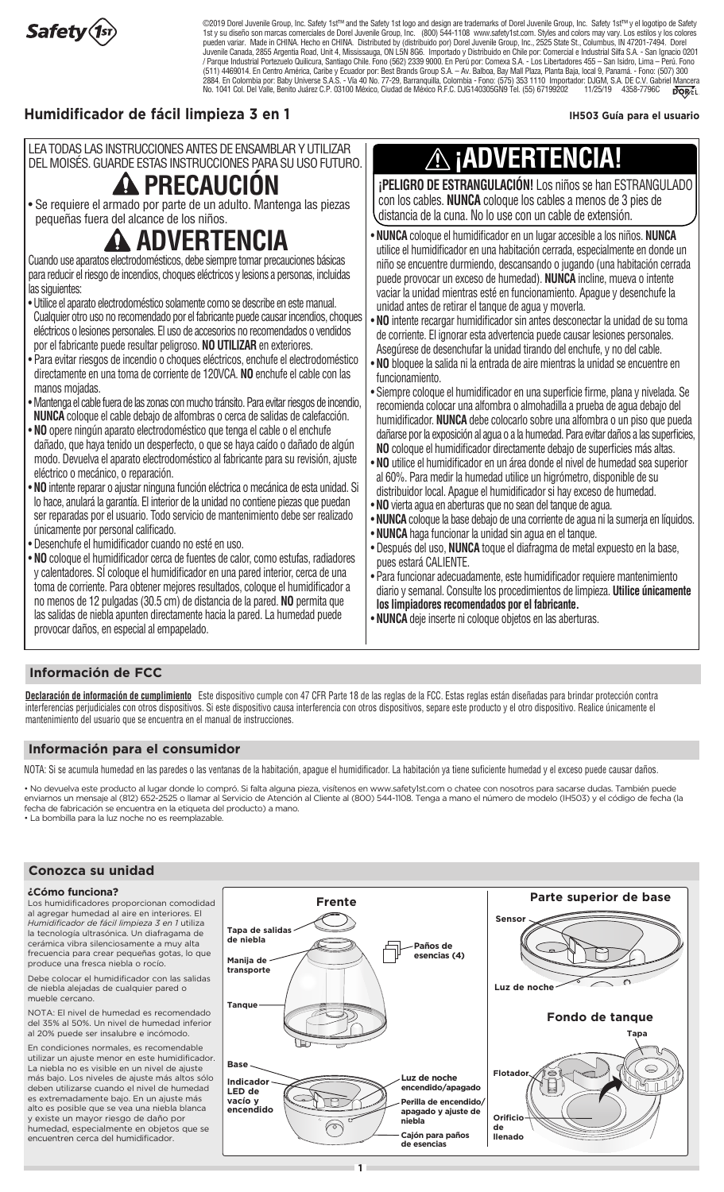

State Strands Group State of a post-confidence of the chordator of cordination can be stated in cold.<br>Not Brands Group State Av Balboa, Bay Mall Plaza, Planta Baia, local 9, Panamá, - Fono: (507) 30 7-29, Barranguilla, Colombia - Fono: (575) 353 1110 Importador: DJGM, S.A. DE C.V. Gabriel Mancer No. 1041 Col. Del Valle, Benito Juárez C.P. 03100 México, Ciudad de México R.F.C. DJG140305GN9 Tel. (55) 67199202 11/25/19 4358-7796C 1st y su diseño son marcas comerciales de Dorel Juvenile Group, Inc. (800) 544-1108 www.safety1st.com. Styles and colors may vary. Los estilos y los colores<br>Dueden variar. Made in CHINA. Hecho en CHINA. Distributed by (dis ©2019 Dorel Juvenile Group, Inc. Safety 1st™ and the Safety 1st logo and design are trademarks of Dorel Juvenile Group, Inc. Safety 1st™ y el logotipo de Safety pueden variar. Made in CHINA. Hecho en CHINA. Distributed by (distribuido por) Dorel Juvenile Group, Inc., 2525 State St., Columbus, IN 47201-7494. Dorel Juvenile Canada, 2855 Argentia Road, Unit 4, Mississauga, ON L5N 8G6. Importado y Distribuido en Chile por: Comercial e Industrial Silfa S.A. - San Ignacio 0201 / Parque Industrial Portezuelo Quilicura, Santiago Chile. Fono (562) 2339 9000. En Perú por: Comexa S.A. - Los Libertadores 455 – San Isidro, Lima – Perú. Fono (511) 4469014. En Centro América, Caribe y Ecuador por: Best Brands Group S.A. – Av. Balboa, Bay Mall Plaza, Planta Baja, local 9, Panamá. - Fono: (507) 300 2884. En Colombia por: Baby Universe S.A.S. - Vía 40 No. 77-29, Barranquilla, Colombia - Fono: (575) 353 1110 Importador: DJGM, S.A. DE C.V. Gabriel Mancera

### **Humidificador de fácil limpieza 3 en 1**

IH503 Guía para el usuario

| LEA TODAS LAS INSTRUCCIONES ANTES DE ENSAMBLAR Y UTILIZAR<br>DEL MOISÉS, GUARDE ESTAS INSTRUCCIONES PARA SU USO FUTURO. I |    |
|---------------------------------------------------------------------------------------------------------------------------|----|
|                                                                                                                           |    |
| A DRECAHCIÓN                                                                                                              | ٠Ο |

### *A***A FREGAUGIUN**

• Se requiere el armado por parte de un adulto. Mantenga las piezas pequeñas fuera del alcance de los niños.

### **ADVERTENCIA**

- Cuando use aparatos electrodomésticos, debe siempre tomar precauciones básicas para reducir el riesgo de incendios, choques eléctricos y lesions a personas, incluidas las siguientes:
- Utilice el aparato electrodoméstico solamente como se describe en este manual. Cualquier otro uso no recomendado por el fabricante puede causar incendios, choques eléctricos o lesiones personales. El uso de accesorios no recomendados o vendidos por el fabricante puede resultar peligroso. **NO UTILIZAR** en exteriores.
- Para evitar riesgos de incendio o choques eléctricos, enchufe el electrodoméstico directamente en una toma de corriente de 120VCA. **NO** enchufe el cable con las manos mojadas.
- Mantenga el cable fuera de las zonas con mucho tránsito. Para evitar riesgos de incendio, **NUNCA** coloque el cable debajo de alfombras o cerca de salidas de calefacción.
- **NO** opere ningún aparato electrodoméstico que tenga el cable o el enchufe dañado, que haya tenido un desperfecto, o que se haya caído o dañado de algún modo. Devuelva el aparato electrodoméstico al fabricante para su revisión, ajuste eléctrico o mecánico, o reparación.
- **NO** intente reparar o ajustar ninguna función eléctrica o mecánica de esta unidad. Si lo hace, anulará la garantía. El interior de la unidad no contiene piezas que puedan ser reparadas por el usuario. Todo servicio de mantenimiento debe ser realizado únicamente por personal calificado.
- Desenchufe el humidificador cuando no esté en uso.
- **NO** coloque el humidificador cerca de fuentes de calor, como estufas, radiadores y calentadores. SÍ coloque el humidificador en una pared interior, cerca de una toma de corriente. Para obtener mejores resultados, coloque el humidificador a no menos de 12 pulgadas (30.5 cm) de distancia de la pared. **NO** permita que las salidas de niebla apunten directamente hacia la pared. La humedad puede provocar daños, en especial al empapelado.

### **¡ADVERTENCIA!**  $\bigwedge$

**¡PELIGRO DE ESTRANGULACIÓN!** Los niños se han ESTRANGULADO con los cables. **NUNCA** coloque los cables a menos de 3 pies de distancia de la cuna. No lo use con un cable de extensión.

- utilice el humidificador en una habitación cerrada, especialmente en donde un • **NUNCA** coloque el humidificador en un lugar accesible a los niños. **NUNCA** niño se encuentre durmiendo, descansando o jugando (una habitación cerrada puede provocar un exceso de humedad). **NUNCA** incline, mueva o intente vaciar la unidad mientras esté en funcionamiento. Apague y desenchufe la unidad antes de retirar el tanque de agua y moverla.
- **NO** intente recargar humidificador sin antes desconectar la unidad de su toma de corriente. El ignorar esta advertencia puede causar lesiones personales. Asegúrese de desenchufar la unidad tirando del enchufe, y no del cable.
- **NO** bloquee la salida ni la entrada de aire mientras la unidad se encuentre en funcionamiento.
- Siempre coloque el humidificador en una superficie firme, plana y nivelada. Se recomienda colocar una alfombra o almohadilla a prueba de agua debajo del humidificador. **NUNCA** debe colocarlo sobre una alfombra o un piso que pueda dañarse por la exposición al agua o a la humedad. Para evitar daños a las superficies, **NO** coloque el humidificador directamente debajo de superficies más altas.
- **NO** utilice el humidificador en un área donde el nivel de humedad sea superior al 60%. Para medir la humedad utilice un higrómetro, disponible de su distribuidor local. Apague el humidificador si hay exceso de humedad.
- **NO** vierta agua en aberturas que no sean del tanque de agua.
- **NUNCA** coloque la base debajo de una corriente de agua ni la sumerja en líquidos.
- **NUNCA** haga funcionar la unidad sin agua en el tanque.
- Después del uso, **NUNCA** toque el diafragma de metal expuesto en la base, pues estará CALIENTE.
- Para funcionar adecuadamente, este humidificador requiere mantenimiento diario y semanal. Consulte los procedimientos de limpieza. **Utilice únicamente los limpiadores recomendados por el fabricante.**
- **NUNCA** deje inserte ni coloque objetos en las aberturas.

### **Información de FCC**

Declaración de información de cumplimiento Este dispositivo cumple con 47 CFR Parte 18 de las reglas de la FCC. Estas reglas están diseñadas para brindar protección contra interferencias perjudiciales con otros dispositivos. Si este dispositivo causa interferencia con otros dispositivos, separe este producto y el otro dispositivo. Realice únicamente el mantenimiento del usuario que se encuentra en el manual de instrucciones.

### **Información para el consumidor**

NOTA: Si se acumula humedad en las paredes o las ventanas de la habitación, apague el humidificador. La habitación ya tiene suficiente humedad y el exceso puede causar daños.

• No devuelva este producto al lugar donde lo compró. Si falta alguna pieza, visítenos en www.safety1st.com o chatee con nosotros para sacarse dudas. También puede enviarnos un mensaje al (812) 652-2525 o llamar al Servicio de Atención al Cliente al (800) 544-1108. Tenga a mano el número de modelo (IH503) y el código de fecha (la fecha de fabricación se encuentra en la etiqueta del producto) a mano. • La bombilla para la luz noche no es reemplazable.

### **Conozca su unidad**

### **¿Cómo funciona?**

Los humidificadores proporcionan comodidad al agregar humedad al aire en interiores. El *Humidificador de fácil limpieza 3 en 1* utiliza la tecnología ultrasónica. Un diafragama de cerámica vibra silenciosamente a muy alta frecuencia para crear pequeñas gotas, lo que produce una fresca niebla o rocío.

Debe colocar el humidificador con las salidas de niebla alejadas de cualquier pared o mueble cercano.

NOTA: El nivel de humedad es recomendado del 35% al 50%. Un nivel de humedad inferior al 20% puede ser insalubre e incómodo.

En condiciones normales, es recomendable utilizar un ajuste menor en este humidificador. La niebla no es visible en un nivel de ajuste más bajo. Los niveles de ajuste más altos sólo deben utilizarse cuando el nivel de humedad es extremadamente bajo. En un ajuste más alto es posible que se vea una niebla blanca y existe un mayor riesgo de daño por humedad, especialmente en objetos que se encuentren cerca del humidificador.